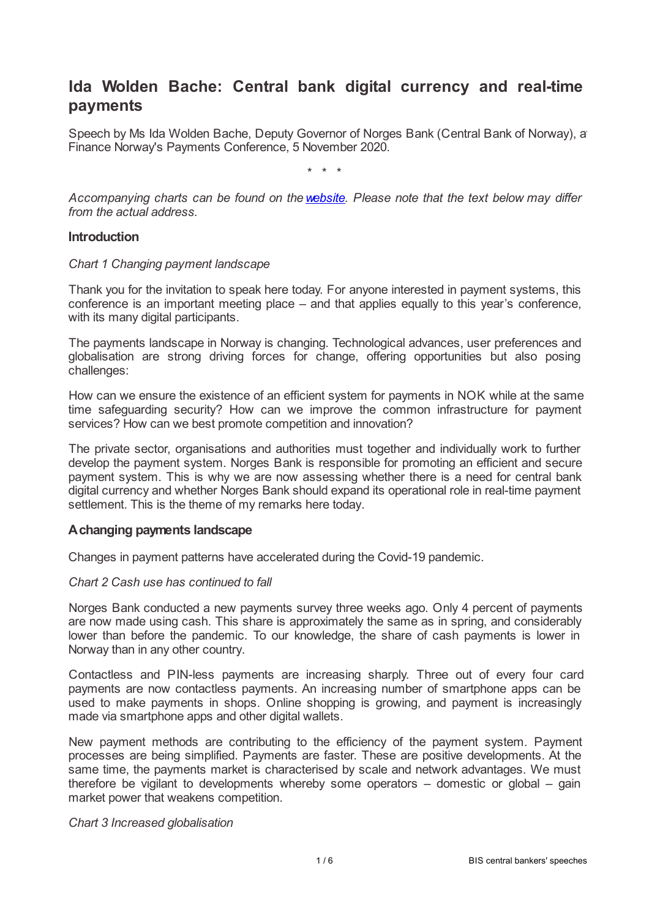# **Ida Wolden Bache: Central bank digital currency and real-time payments**

Speech by Ms Ida Wolden Bache, Deputy Governor of Norges Bank (Central Bank of Norway), at Finance Norway's Payments Conference, 5 November 2020.

\* \* \*

*Accompanying charts can be found on the[website](static.norges-bank.no/contentassets/6999efbb3fb044069c1a84a510b5975c/finance-norway-5-november-2020.pdf?v=11/05/2020104025&ft=.pdf). Please note that the text below may differ from the actual address.*

#### **Introduction**

#### *Chart 1 Changing payment landscape*

Thank you for the invitation to speak here today. For anyone interested in payment systems, this conference is an important meeting place – and that applies equally to this year's conference, with its many digital participants.

The payments landscape in Norway is changing. Technological advances, user preferences and globalisation are strong driving forces for change, offering opportunities but also posing challenges:

How can we ensure the existence of an efficient system for payments in NOK while at the same time safeguarding security? How can we improve the common infrastructure for payment services? How can we best promote competition and innovation?

The private sector, organisations and authorities must together and individually work to further develop the payment system. Norges Bank is responsible for promoting an efficient and secure payment system. This is why we are now assessing whether there is a need for central bank digital currency and whether Norges Bank should expand its operational role in real-time payment settlement. This is the theme of my remarks here today.

## **Achanging payments landscape**

Changes in payment patterns have accelerated during the Covid-19 pandemic.

#### *Chart 2 Cash use has continued to fall*

Norges Bank conducted a new payments survey three weeks ago. Only 4 percent of payments are now made using cash. This share is approximately the same as in spring, and considerably lower than before the pandemic. To our knowledge, the share of cash payments is lower in Norway than in any other country.

Contactless and PIN-less payments are increasing sharply. Three out of every four card payments are now contactless payments. An increasing number of smartphone apps can be used to make payments in shops. Online shopping is growing, and payment is increasingly made via smartphone apps and other digital wallets.

New payment methods are contributing to the efficiency of the payment system. Payment processes are being simplified. Payments are faster. These are positive developments. At the same time, the payments market is characterised by scale and network advantages. We must therefore be vigilant to developments whereby some operators – domestic or global – gain market power that weakens competition.

#### *Chart 3 Increased globalisation*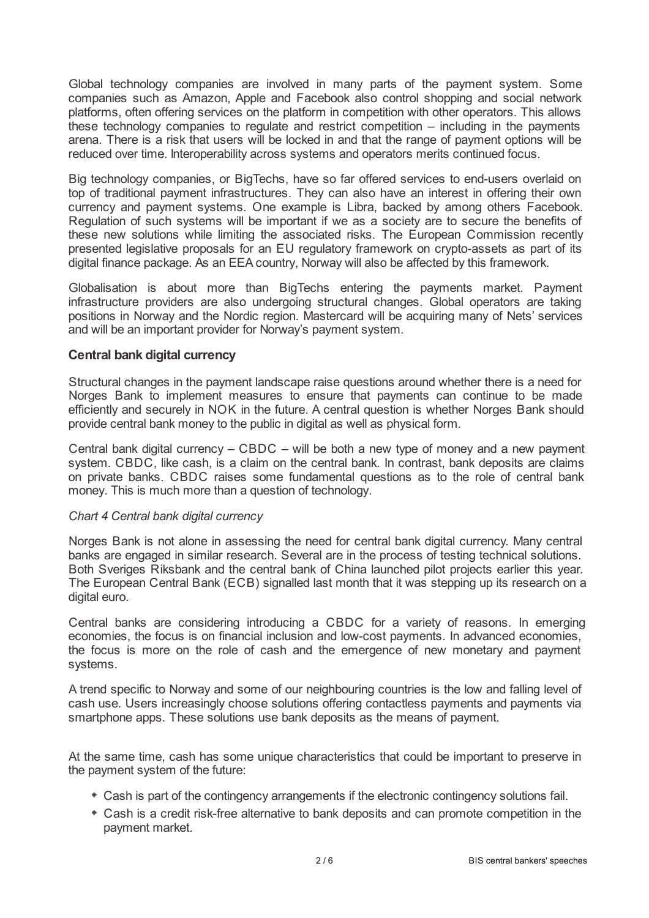Global technology companies are involved in many parts of the payment system. Some companies such as Amazon, Apple and Facebook also control shopping and social network platforms, often offering services on the platform in competition with other operators. This allows these technology companies to regulate and restrict competition – including in the payments arena. There is a risk that users will be locked in and that the range of payment options will be reduced over time. Interoperability across systems and operators merits continued focus.

Big technology companies, or BigTechs, have so far offered services to end-users overlaid on top of traditional payment infrastructures. They can also have an interest in offering their own currency and payment systems. One example is Libra, backed by among others Facebook. Regulation of such systems will be important if we as a society are to secure the benefits of these new solutions while limiting the associated risks. The European Commission recently presented legislative proposals for an EU regulatory framework on crypto-assets as part of its digital finance package. As an EEA country, Norway will also be affected by this framework.

Globalisation is about more than BigTechs entering the payments market. Payment infrastructure providers are also undergoing structural changes. Global operators are taking positions in Norway and the Nordic region. Mastercard will be acquiring many of Nets' services and will be an important provider for Norway's payment system.

## **Central bank digital currency**

Structural changes in the payment landscape raise questions around whether there is a need for Norges Bank to implement measures to ensure that payments can continue to be made efficiently and securely in NOK in the future. A central question is whether Norges Bank should provide central bank money to the public in digital as well as physical form.

Central bank digital currency  $-$  CBDC  $-$  will be both a new type of money and a new payment system. CBDC, like cash, is a claim on the central bank. In contrast, bank deposits are claims on private banks. CBDC raises some fundamental questions as to the role of central bank money. This is much more than a question of technology.

## *Chart 4 Central bank digital currency*

Norges Bank is not alone in assessing the need for central bank digital currency. Many central banks are engaged in similar research. Several are in the process of testing technical solutions. Both Sveriges Riksbank and the central bank of China launched pilot projects earlier this year. The European Central Bank (ECB) signalled last month that it was stepping up its research on a digital euro.

Central banks are considering introducing a CBDC for a variety of reasons. In emerging economies, the focus is on financial inclusion and low-cost payments. In advanced economies, the focus is more on the role of cash and the emergence of new monetary and payment systems.

A trend specific to Norway and some of our neighbouring countries is the low and falling level of cash use. Users increasingly choose solutions offering contactless payments and payments via smartphone apps. These solutions use bank deposits as the means of payment.

At the same time, cash has some unique characteristics that could be important to preserve in the payment system of the future:

- Cash is part of the contingency arrangements if the electronic contingency solutions fail.
- Cash is a credit risk-free alternative to bank deposits and can promote competition in the payment market.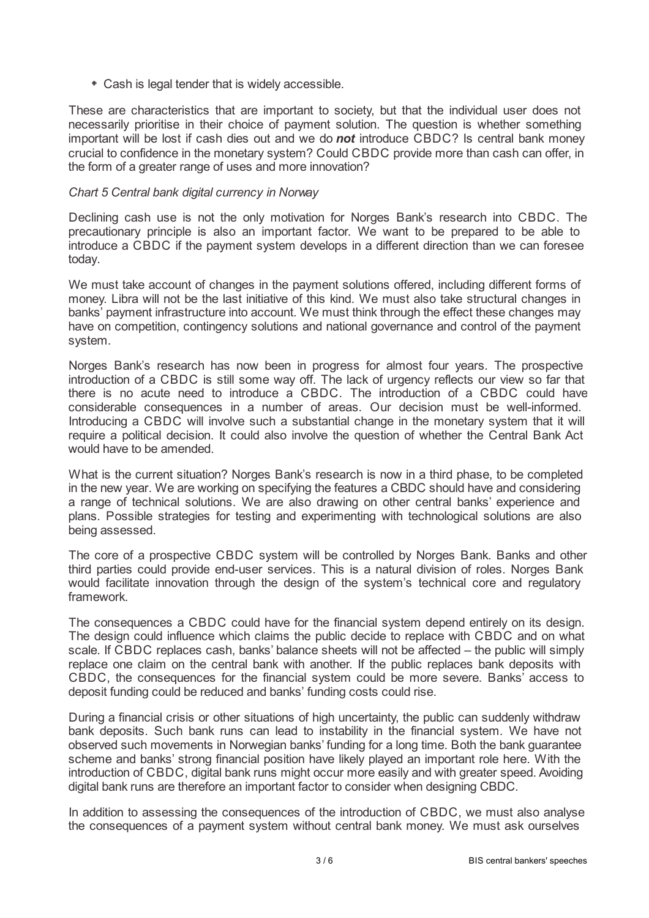Cash is legal tender that is widely accessible.

These are characteristics that are important to society, but that the individual user does not necessarily prioritise in their choice of payment solution. The question is whether something important will be lost if cash dies out and we do *not* introduce CBDC? Is central bank money crucial to confidence in the monetary system? Could CBDC provide more than cash can offer, in the form of a greater range of uses and more innovation?

## *Chart 5 Central bank digital currency in Norway*

Declining cash use is not the only motivation for Norges Bank's research into CBDC. The precautionary principle is also an important factor. We want to be prepared to be able to introduce a CBDC if the payment system develops in a different direction than we can foresee today.

We must take account of changes in the payment solutions offered, including different forms of money. Libra will not be the last initiative of this kind. We must also take structural changes in banks' payment infrastructure into account. We must think through the effect these changes may have on competition, contingency solutions and national governance and control of the payment system.

Norges Bank's research has now been in progress for almost four years. The prospective introduction of a CBDC is still some way off. The lack of urgency reflects our view so far that there is no acute need to introduce a CBDC. The introduction of a CBDC could have considerable consequences in a number of areas. Our decision must be well-informed. Introducing a CBDC will involve such a substantial change in the monetary system that it will require a political decision. It could also involve the question of whether the Central Bank Act would have to be amended.

What is the current situation? Norges Bank's research is now in a third phase, to be completed in the new year. We are working on specifying the features a CBDC should have and considering a range of technical solutions. We are also drawing on other central banks' experience and plans. Possible strategies for testing and experimenting with technological solutions are also being assessed.

The core of a prospective CBDC system will be controlled by Norges Bank. Banks and other third parties could provide end-user services. This is a natural division of roles. Norges Bank would facilitate innovation through the design of the system's technical core and regulatory framework.

The consequences a CBDC could have for the financial system depend entirely on its design. The design could influence which claims the public decide to replace with CBDC and on what scale. If CBDC replaces cash, banks' balance sheets will not be affected – the public will simply replace one claim on the central bank with another. If the public replaces bank deposits with CBDC, the consequences for the financial system could be more severe. Banks' access to deposit funding could be reduced and banks' funding costs could rise.

During a financial crisis or other situations of high uncertainty, the public can suddenly withdraw bank deposits. Such bank runs can lead to instability in the financial system. We have not observed such movements in Norwegian banks' funding for a long time. Both the bank guarantee scheme and banks' strong financial position have likely played an important role here. With the introduction of CBDC, digital bank runs might occur more easily and with greater speed. Avoiding digital bank runs are therefore an important factor to consider when designing CBDC.

In addition to assessing the consequences of the introduction of CBDC, we must also analyse the consequences of a payment system without central bank money. We must ask ourselves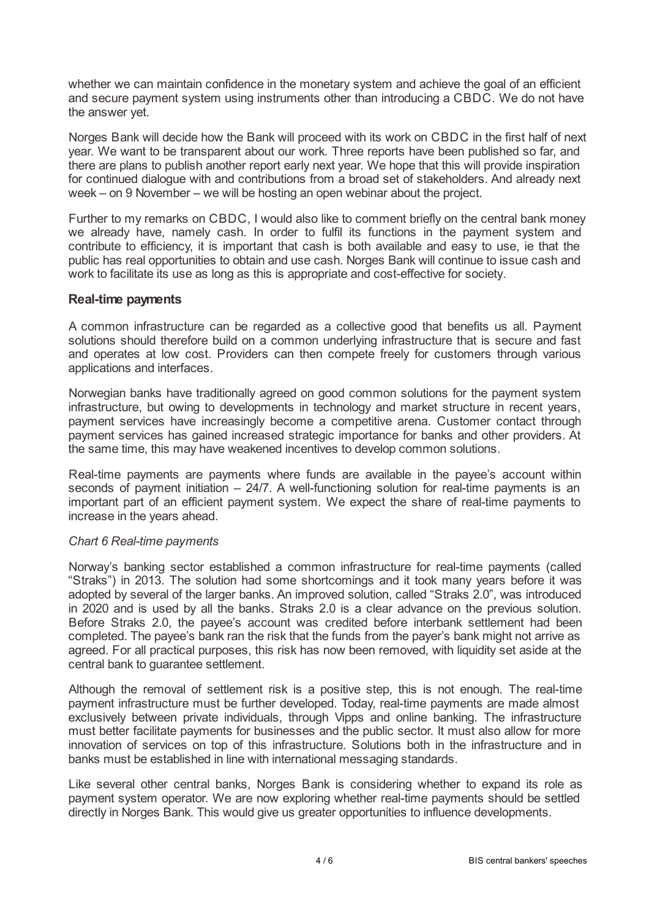whether we can maintain confidence in the monetary system and achieve the goal of an efficient and secure payment system using instruments other than introducing a CBDC. We do not have the answer yet.

Norges Bank will decide how the Bank will proceed with its work on CBDC in the first half of next year. We want to be transparent about our work. Three reports have been published so far, and there are plans to publish another report early next year. We hope that this will provide inspiration for continued dialogue with and contributions from a broad set of stakeholders. And already next week – on 9 November – we will be hosting an open webinar about the project.

Further to my remarks on CBDC, I would also like to comment briefly on the central bank money we already have, namely cash. In order to fulfil its functions in the payment system and contribute to efficiency, it is important that cash is both available and easy to use, ie that the public has real opportunities to obtain and use cash. Norges Bank will continue to issue cash and work to facilitate its use as long as this is appropriate and cost-effective for society.

## **Real-time payments**

A common infrastructure can be regarded as a collective good that benefits us all. Payment solutions should therefore build on a common underlying infrastructure that is secure and fast and operates at low cost. Providers can then compete freely for customers through various applications and interfaces.

Norwegian banks have traditionally agreed on good common solutions for the payment system infrastructure, but owing to developments in technology and market structure in recent years, payment services have increasingly become a competitive arena. Customer contact through payment services has gained increased strategic importance for banks and other providers. At the same time, this may have weakened incentives to develop common solutions.

Real-time payments are payments where funds are available in the payee's account within seconds of payment initiation – 24/7. A well-functioning solution for real-time payments is an important part of an efficient payment system. We expect the share of real-time payments to increase in the years ahead.

## *Chart 6 Real-time payments*

Norway's banking sector established a common infrastructure for real-time payments (called "Straks") in 2013. The solution had some shortcomings and it took many years before it was adopted by several of the larger banks. An improved solution, called "Straks 2.0", was introduced in 2020 and is used by all the banks. Straks 2.0 is a clear advance on the previous solution. Before Straks 2.0, the payee's account was credited before interbank settlement had been completed. The payee's bank ran the risk that the funds from the payer's bank might not arrive as agreed. For all practical purposes, this risk has now been removed, with liquidity set aside at the central bank to guarantee settlement.

Although the removal of settlement risk is a positive step, this is not enough. The real-time payment infrastructure must be further developed. Today, real-time payments are made almost exclusively between private individuals, through Vipps and online banking. The infrastructure must better facilitate payments for businesses and the public sector. It must also allow for more innovation of services on top of this infrastructure. Solutions both in the infrastructure and in banks must be established in line with international messaging standards.

Like several other central banks, Norges Bank is considering whether to expand its role as payment system operator. We are now exploring whether real-time payments should be settled directly in Norges Bank. This would give us greater opportunities to influence developments.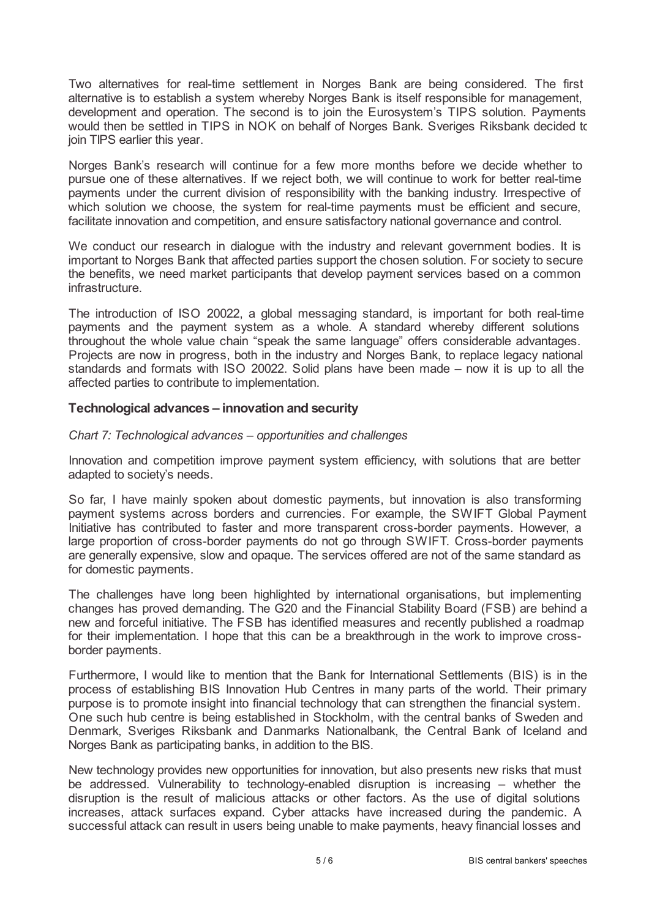Two alternatives for real-time settlement in Norges Bank are being considered. The first alternative is to establish a system whereby Norges Bank is itself responsible for management, development and operation. The second is to join the Eurosystem's TIPS solution. Payments would then be settled in TIPS in NOK on behalf of Norges Bank. Sveriges Riksbank decided to join TIPS earlier this year.

Norges Bank's research will continue for a few more months before we decide whether to pursue one of these alternatives. If we reject both, we will continue to work for better real-time payments under the current division of responsibility with the banking industry. Irrespective of which solution we choose, the system for real-time payments must be efficient and secure, facilitate innovation and competition, and ensure satisfactory national governance and control.

We conduct our research in dialogue with the industry and relevant government bodies. It is important to Norges Bank that affected parties support the chosen solution. For society to secure the benefits, we need market participants that develop payment services based on a common infrastructure.

The introduction of ISO 20022, a global messaging standard, is important for both real-time payments and the payment system as a whole. A standard whereby different solutions throughout the whole value chain "speak the same language" offers considerable advantages. Projects are now in progress, both in the industry and Norges Bank, to replace legacy national standards and formats with ISO 20022. Solid plans have been made – now it is up to all the affected parties to contribute to implementation.

## **Technological advances – innovation and security**

## *Chart 7: Technological advances – opportunities and challenges*

Innovation and competition improve payment system efficiency, with solutions that are better adapted to society's needs.

So far, I have mainly spoken about domestic payments, but innovation is also transforming payment systems across borders and currencies. For example, the SWIFT Global Payment Initiative has contributed to faster and more transparent cross-border payments. However, a large proportion of cross-border payments do not go through SWIFT. Cross-border payments are generally expensive, slow and opaque. The services offered are not of the same standard as for domestic payments.

The challenges have long been highlighted by international organisations, but implementing changes has proved demanding. The G20 and the Financial Stability Board (FSB) are behind a new and forceful initiative. The FSB has identified measures and recently published a roadmap for their implementation. I hope that this can be a breakthrough in the work to improve crossborder payments.

Furthermore, I would like to mention that the Bank for International Settlements (BIS) is in the process of establishing BIS Innovation Hub Centres in many parts of the world. Their primary purpose is to promote insight into financial technology that can strengthen the financial system. One such hub centre is being established in Stockholm, with the central banks of Sweden and Denmark, Sveriges Riksbank and Danmarks Nationalbank, the Central Bank of Iceland and Norges Bank as participating banks, in addition to the BIS.

New technology provides new opportunities for innovation, but also presents new risks that must be addressed. Vulnerability to technology-enabled disruption is increasing – whether the disruption is the result of malicious attacks or other factors. As the use of digital solutions increases, attack surfaces expand. Cyber attacks have increased during the pandemic. A successful attack can result in users being unable to make payments, heavy financial losses and